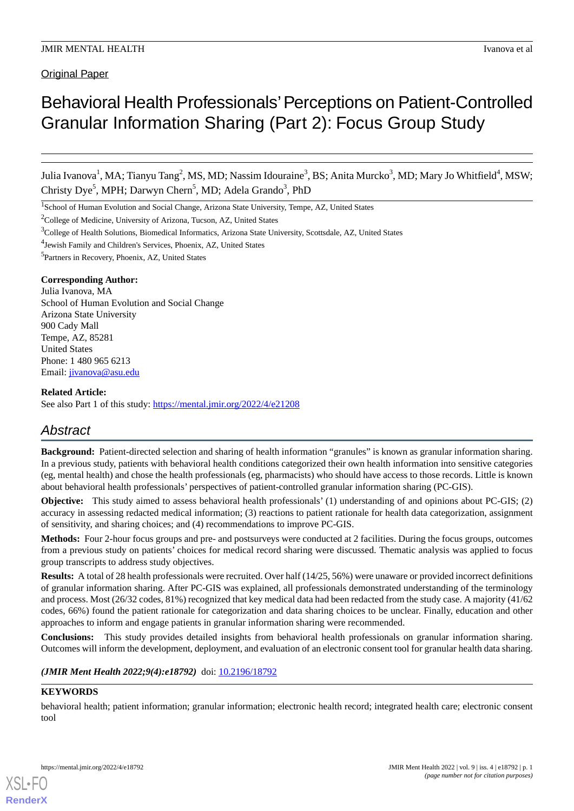**Original Paper** 

# Behavioral Health Professionals' Perceptions on Patient-Controlled Granular Information Sharing (Part 2): Focus Group Study

Julia Ivanova<sup>1</sup>, MA; Tianyu Tang<sup>2</sup>, MS, MD; Nassim Idouraine<sup>3</sup>, BS; Anita Murcko<sup>3</sup>, MD; Mary Jo Whitfield<sup>4</sup>, MSW; Christy Dye<sup>5</sup>, MPH; Darwyn Chern<sup>5</sup>, MD; Adela Grando<sup>3</sup>, PhD

<sup>1</sup>School of Human Evolution and Social Change, Arizona State University, Tempe, AZ, United States

<sup>2</sup>College of Medicine, University of Arizona, Tucson, AZ, United States

4 Jewish Family and Children's Services, Phoenix, AZ, United States

5 Partners in Recovery, Phoenix, AZ, United States

#### **Corresponding Author:**

Julia Ivanova, MA School of Human Evolution and Social Change Arizona State University 900 Cady Mall Tempe, AZ, 85281 United States Phone: 1 480 965 6213 Email: [jivanova@asu.edu](mailto:jivanova@asu.edu)

#### **Related Article:**

See also Part 1 of this study: <https://mental.jmir.org/2022/4/e21208>

# *Abstract*

**Background:** Patient-directed selection and sharing of health information "granules" is known as granular information sharing. In a previous study, patients with behavioral health conditions categorized their own health information into sensitive categories (eg, mental health) and chose the health professionals (eg, pharmacists) who should have access to those records. Little is known about behavioral health professionals' perspectives of patient-controlled granular information sharing (PC-GIS).

**Objective:** This study aimed to assess behavioral health professionals' (1) understanding of and opinions about PC-GIS; (2) accuracy in assessing redacted medical information; (3) reactions to patient rationale for health data categorization, assignment of sensitivity, and sharing choices; and (4) recommendations to improve PC-GIS.

**Methods:** Four 2-hour focus groups and pre- and postsurveys were conducted at 2 facilities. During the focus groups, outcomes from a previous study on patients' choices for medical record sharing were discussed. Thematic analysis was applied to focus group transcripts to address study objectives.

**Results:** A total of 28 health professionals were recruited. Over half (14/25, 56%) were unaware or provided incorrect definitions of granular information sharing. After PC-GIS was explained, all professionals demonstrated understanding of the terminology and process. Most (26/32 codes, 81%) recognized that key medical data had been redacted from the study case. A majority (41/62 codes, 66%) found the patient rationale for categorization and data sharing choices to be unclear. Finally, education and other approaches to inform and engage patients in granular information sharing were recommended.

**Conclusions:** This study provides detailed insights from behavioral health professionals on granular information sharing. Outcomes will inform the development, deployment, and evaluation of an electronic consent tool for granular health data sharing.

## *(JMIR Ment Health 2022;9(4):e18792)* doi: [10.2196/18792](http://dx.doi.org/10.2196/18792)

## **KEYWORDS**

[XSL](http://www.w3.org/Style/XSL)•FO **[RenderX](http://www.renderx.com/)**

behavioral health; patient information; granular information; electronic health record; integrated health care; electronic consent tool

<sup>3</sup>College of Health Solutions, Biomedical Informatics, Arizona State University, Scottsdale, AZ, United States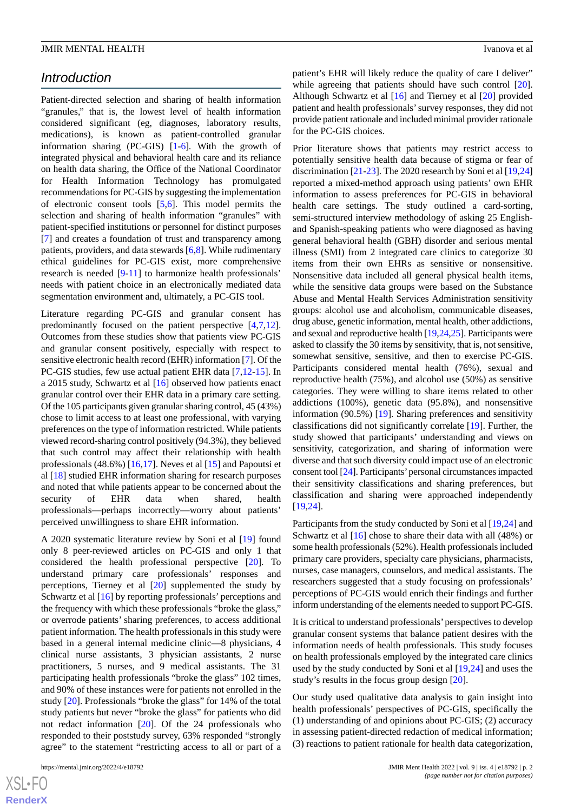## *Introduction*

Patient-directed selection and sharing of health information "granules," that is, the lowest level of health information considered significant (eg, diagnoses, laboratory results, medications), is known as patient-controlled granular information sharing (PC-GIS) [\[1](#page-11-0)-[6\]](#page-11-1)*.* With the growth of integrated physical and behavioral health care and its reliance on health data sharing, the Office of the National Coordinator for Health Information Technology has promulgated recommendations for PC-GIS by suggesting the implementation of electronic consent tools [[5,](#page-11-2)[6](#page-11-1)]. This model permits the selection and sharing of health information "granules" with patient-specified institutions or personnel for distinct purposes [[7\]](#page-11-3) and creates a foundation of trust and transparency among patients, providers, and data stewards [[6](#page-11-1)[,8](#page-11-4)]. While rudimentary ethical guidelines for PC-GIS exist, more comprehensive research is needed [[9](#page-11-5)[-11](#page-11-6)] to harmonize health professionals' needs with patient choice in an electronically mediated data segmentation environment and, ultimately, a PC-GIS tool.

Literature regarding PC-GIS and granular consent has predominantly focused on the patient perspective [[4](#page-11-7)[,7](#page-11-3),[12\]](#page-11-8). Outcomes from these studies show that patients view PC-GIS and granular consent positively, especially with respect to sensitive electronic health record (EHR) information [\[7](#page-11-3)]. Of the PC-GIS studies, few use actual patient EHR data [\[7](#page-11-3),[12-](#page-11-8)[15\]](#page-11-9). In a 2015 study, Schwartz et al [\[16](#page-11-10)] observed how patients enact granular control over their EHR data in a primary care setting. Of the 105 participants given granular sharing control, 45 (43%) chose to limit access to at least one professional, with varying preferences on the type of information restricted. While patients viewed record-sharing control positively (94.3%), they believed that such control may affect their relationship with health professionals (48.6%) [[16,](#page-11-10)[17](#page-11-11)]. Neves et al [[15\]](#page-11-9) and Papoutsi et al [[18\]](#page-11-12) studied EHR information sharing for research purposes and noted that while patients appear to be concerned about the security of EHR data when shared, health professionals—perhaps incorrectly—worry about patients' perceived unwillingness to share EHR information.

A 2020 systematic literature review by Soni et al [[19\]](#page-12-0) found only 8 peer-reviewed articles on PC-GIS and only 1 that considered the health professional perspective [[20\]](#page-12-1). To understand primary care professionals' responses and perceptions, Tierney et al [\[20](#page-12-1)] supplemented the study by Schwartz et al [\[16](#page-11-10)] by reporting professionals' perceptions and the frequency with which these professionals "broke the glass," or overrode patients' sharing preferences, to access additional patient information. The health professionals in this study were based in a general internal medicine clinic—8 physicians, 4 clinical nurse assistants, 3 physician assistants, 2 nurse practitioners, 5 nurses, and 9 medical assistants. The 31 participating health professionals "broke the glass" 102 times, and 90% of these instances were for patients not enrolled in the study [[20\]](#page-12-1). Professionals "broke the glass" for 14% of the total study patients but never "broke the glass" for patients who did not redact information [\[20](#page-12-1)]. Of the 24 professionals who responded to their poststudy survey, 63% responded "strongly agree" to the statement "restricting access to all or part of a

patient's EHR will likely reduce the quality of care I deliver" while agreeing that patients should have such control [[20\]](#page-12-1). Although Schwartz et al [[16\]](#page-11-10) and Tierney et al [[20\]](#page-12-1) provided patient and health professionals'survey responses, they did not provide patient rationale and included minimal provider rationale for the PC-GIS choices.

Prior literature shows that patients may restrict access to potentially sensitive health data because of stigma or fear of discrimination [[21-](#page-12-2)[23](#page-12-3)]. The 2020 research by Soni et al [[19](#page-12-0)[,24](#page-12-4)] reported a mixed-method approach using patients' own EHR information to assess preferences for PC-GIS in behavioral health care settings. The study outlined a card-sorting, semi-structured interview methodology of asking 25 Englishand Spanish-speaking patients who were diagnosed as having general behavioral health (GBH) disorder and serious mental illness (SMI) from 2 integrated care clinics to categorize 30 items from their own EHRs as sensitive or nonsensitive. Nonsensitive data included all general physical health items, while the sensitive data groups were based on the Substance Abuse and Mental Health Services Administration sensitivity groups: alcohol use and alcoholism, communicable diseases, drug abuse, genetic information, mental health, other addictions, and sexual and reproductive health [\[19](#page-12-0),[24,](#page-12-4)[25\]](#page-12-5). Participants were asked to classify the 30 items by sensitivity, that is, not sensitive, somewhat sensitive, sensitive, and then to exercise PC-GIS. Participants considered mental health (76%), sexual and reproductive health (75%), and alcohol use (50%) as sensitive categories. They were willing to share items related to other addictions (100%), genetic data (95.8%), and nonsensitive information (90.5%) [[19\]](#page-12-0). Sharing preferences and sensitivity classifications did not significantly correlate [[19\]](#page-12-0). Further, the study showed that participants' understanding and views on sensitivity, categorization, and sharing of information were diverse and that such diversity could impact use of an electronic consent tool [\[24\]](#page-12-4). Participants'personal circumstances impacted their sensitivity classifications and sharing preferences, but classification and sharing were approached independently [[19,](#page-12-0)[24\]](#page-12-4).

Participants from the study conducted by Soni et al [\[19](#page-12-0),[24\]](#page-12-4) and Schwartz et al [[16\]](#page-11-10) chose to share their data with all (48%) or some health professionals (52%). Health professionals included primary care providers, specialty care physicians, pharmacists, nurses, case managers, counselors, and medical assistants. The researchers suggested that a study focusing on professionals' perceptions of PC-GIS would enrich their findings and further inform understanding of the elements needed to support PC-GIS.

It is critical to understand professionals'perspectives to develop granular consent systems that balance patient desires with the information needs of health professionals. This study focuses on health professionals employed by the integrated care clinics used by the study conducted by Soni et al [[19,](#page-12-0)[24](#page-12-4)] and uses the study's results in the focus group design [\[20](#page-12-1)].

Our study used qualitative data analysis to gain insight into health professionals' perspectives of PC-GIS, specifically the (1) understanding of and opinions about PC-GIS; (2) accuracy in assessing patient-directed redaction of medical information; (3) reactions to patient rationale for health data categorization,

 $XSJ \cdot F$ **[RenderX](http://www.renderx.com/)**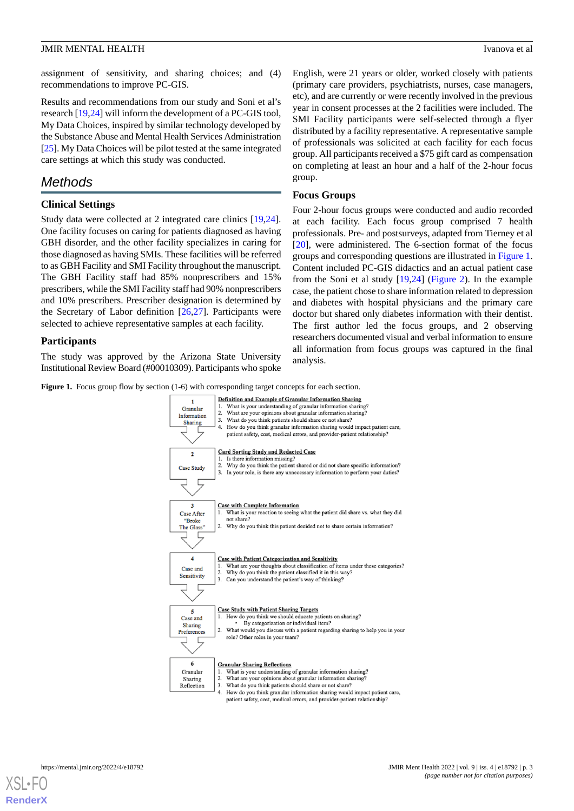assignment of sensitivity, and sharing choices; and (4) recommendations to improve PC-GIS.

Results and recommendations from our study and Soni et al's research [\[19](#page-12-0),[24\]](#page-12-4) will inform the development of a PC-GIS tool, My Data Choices*,*inspired by similar technology developed by the Substance Abuse and Mental Health Services Administration [[25\]](#page-12-5). My Data Choices will be pilot tested at the same integrated care settings at which this study was conducted.

# *Methods*

## **Clinical Settings**

Study data were collected at 2 integrated care clinics [\[19](#page-12-0),[24\]](#page-12-4). One facility focuses on caring for patients diagnosed as having GBH disorder, and the other facility specializes in caring for those diagnosed as having SMIs. These facilities will be referred to as GBH Facility and SMI Facility throughout the manuscript. The GBH Facility staff had 85% nonprescribers and 15% prescribers, while the SMI Facility staff had 90% nonprescribers and 10% prescribers. Prescriber designation is determined by the Secretary of Labor definition [\[26](#page-12-6),[27\]](#page-12-7). Participants were selected to achieve representative samples at each facility.

## **Participants**

<span id="page-2-0"></span>The study was approved by the Arizona State University Institutional Review Board (#00010309). Participants who spoke English, were 21 years or older, worked closely with patients (primary care providers, psychiatrists, nurses, case managers, etc), and are currently or were recently involved in the previous year in consent processes at the 2 facilities were included. The SMI Facility participants were self-selected through a flyer distributed by a facility representative. A representative sample of professionals was solicited at each facility for each focus group. All participants received a \$75 gift card as compensation on completing at least an hour and a half of the 2-hour focus group.

## **Focus Groups**

Four 2-hour focus groups were conducted and audio recorded at each facility. Each focus group comprised 7 health professionals. Pre- and postsurveys, adapted from Tierney et al [[20\]](#page-12-1), were administered. The 6-section format of the focus groups and corresponding questions are illustrated in [Figure 1](#page-2-0). Content included PC-GIS didactics and an actual patient case from the Soni et al study [\[19](#page-12-0)[,24](#page-12-4)] [\(Figure 2\)](#page-3-0). In the example case, the patient chose to share information related to depression and diabetes with hospital physicians and the primary care doctor but shared only diabetes information with their dentist. The first author led the focus groups, and 2 observing researchers documented visual and verbal information to ensure all information from focus groups was captured in the final analysis.

**Figure 1.** Focus group flow by section (1-6) with corresponding target concepts for each section.



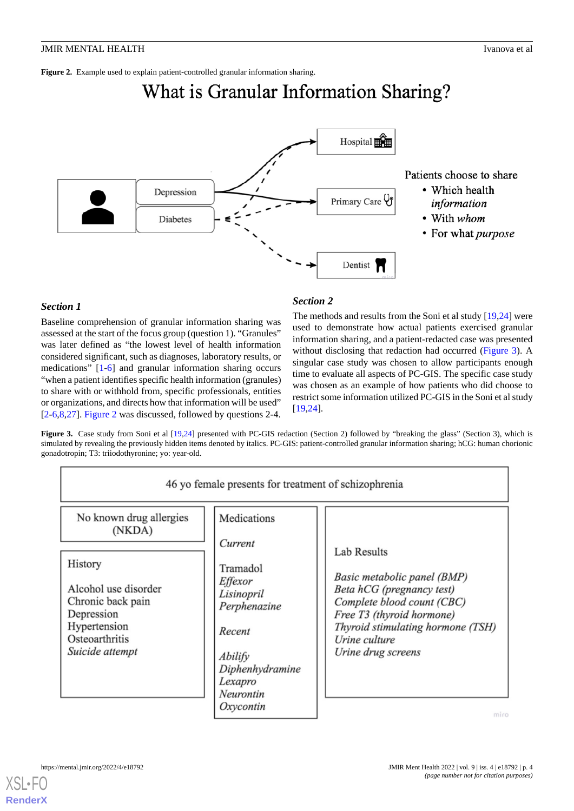<span id="page-3-0"></span>**Figure 2.** Example used to explain patient-controlled granular information sharing.

# What is Granular Information Sharing?



Patients choose to share

- Which health information
- With whom
- For what purpose

## *Section 1*

Baseline comprehension of granular information sharing was assessed at the start of the focus group (question 1). "Granules" was later defined as "the lowest level of health information considered significant, such as diagnoses, laboratory results, or medications" [[1](#page-11-0)[-6](#page-11-1)] and granular information sharing occurs "when a patient identifies specific health information (granules) to share with or withhold from, specific professionals, entities or organizations, and directs how that information will be used" [[2](#page-11-13)[-6](#page-11-1),[8,](#page-11-4)[27](#page-12-7)]. [Figure 2](#page-3-0) was discussed, followed by questions 2-4.

## *Section 2*

The methods and results from the Soni et al study [\[19](#page-12-0),[24\]](#page-12-4) were used to demonstrate how actual patients exercised granular information sharing, and a patient-redacted case was presented without disclosing that redaction had occurred [\(Figure 3](#page-3-1)). A singular case study was chosen to allow participants enough time to evaluate all aspects of PC-GIS. The specific case study was chosen as an example of how patients who did choose to restrict some information utilized PC-GIS in the Soni et al study [[19,](#page-12-0)[24\]](#page-12-4).

<span id="page-3-1"></span>**Figure 3.** Case study from Soni et al [\[19,](#page-12-0)[24](#page-12-4)] presented with PC-GIS redaction (Section 2) followed by "breaking the glass" (Section 3), which is simulated by revealing the previously hidden items denoted by italics. PC-GIS: patient-controlled granular information sharing; hCG: human chorionic gonadotropin; T3: triiodothyronine; yo: year-old.

|                                                                                                                                                              | 46 yo female presents for treatment of schizophrenia                                                                                        |                                                                                                                                                                                                                       |
|--------------------------------------------------------------------------------------------------------------------------------------------------------------|---------------------------------------------------------------------------------------------------------------------------------------------|-----------------------------------------------------------------------------------------------------------------------------------------------------------------------------------------------------------------------|
| No known drug allergies<br>(NKDA)<br>History<br>Alcohol use disorder<br>Chronic back pain<br>Depression<br>Hypertension<br>Osteoarthritis<br>Suicide attempt | Medications<br>Current<br>Tramadol<br>Effexor<br>Lisinopril<br>Perphenazine<br>Recent<br>Abilify<br>Diphenhydramine<br>Lexapro<br>Neurontin | <b>Lab Results</b><br>Basic metabolic panel (BMP)<br>Beta hCG (pregnancy test)<br>Complete blood count (CBC)<br>Free T3 (thyroid hormone)<br>Thyroid stimulating hormone (TSH)<br>Urine culture<br>Urine drug screens |
|                                                                                                                                                              | Oxycontin                                                                                                                                   | miro                                                                                                                                                                                                                  |

[XSL](http://www.w3.org/Style/XSL)•FO

**[RenderX](http://www.renderx.com/)**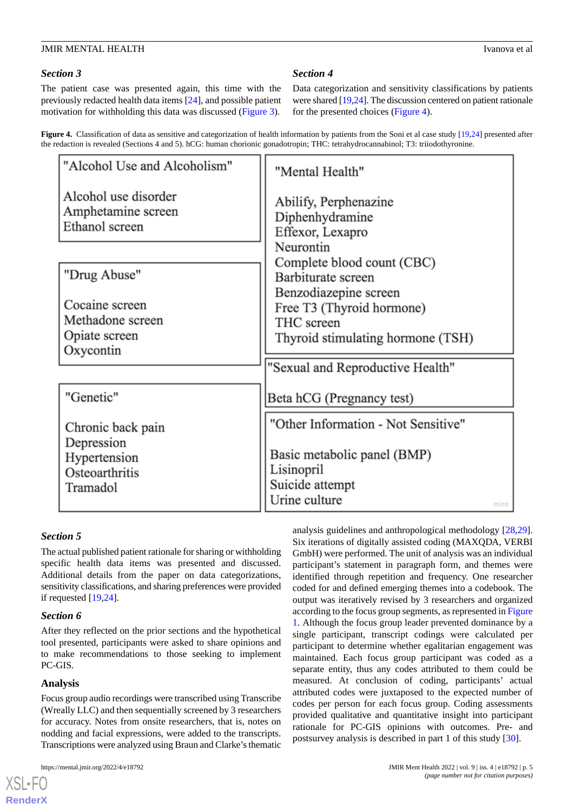## *Section 3*

The patient case was presented again, this time with the previously redacted health data items [\[24](#page-12-4)], and possible patient motivation for withholding this data was discussed [\(Figure 3\)](#page-3-1).

## *Section 4*

Data categorization and sensitivity classifications by patients were shared [\[19](#page-12-0)[,24\]](#page-12-4). The discussion centered on patient rationale for the presented choices [\(Figure 4\)](#page-4-0).

<span id="page-4-0"></span>Figure 4. Classification of data as sensitive and categorization of health information by patients from the Soni et al case study [\[19,](#page-12-0)[24\]](#page-12-4) presented after the redaction is revealed (Sections 4 and 5). hCG: human chorionic gonadotropin; THC: tetrahydrocannabinol; T3: triiodothyronine.

| "Alcohol Use and Alcoholism"                                      | "Mental Health"                                                                                       |
|-------------------------------------------------------------------|-------------------------------------------------------------------------------------------------------|
| Alcohol use disorder<br>Amphetamine screen<br>Ethanol screen      | Abilify, Perphenazine<br>Diphenhydramine<br>Effexor, Lexapro<br>Neurontin                             |
| "Drug Abuse"                                                      | Complete blood count (CBC)<br>Barbiturate screen                                                      |
| Cocaine screen<br>Methadone screen<br>Opiate screen<br>Oxycontin  | Benzodiazepine screen<br>Free T3 (Thyroid hormone)<br>THC screen<br>Thyroid stimulating hormone (TSH) |
|                                                                   | "Sexual and Reproductive Health"                                                                      |
| "Genetic"                                                         | Beta hCG (Pregnancy test)                                                                             |
| Chronic back pain<br>Depression<br>Hypertension<br>Osteoarthritis | "Other Information - Not Sensitive"<br>Basic metabolic panel (BMP)<br>Lisinopril                      |
| Tramadol                                                          | Suicide attempt<br>Urine culture<br>miro                                                              |

## *Section 5*

The actual published patient rationale for sharing or withholding specific health data items was presented and discussed. Additional details from the paper on data categorizations, sensitivity classifications, and sharing preferences were provided if requested [\[19](#page-12-0),[24\]](#page-12-4).

## *Section 6*

After they reflected on the prior sections and the hypothetical tool presented, participants were asked to share opinions and to make recommendations to those seeking to implement PC-GIS.

## **Analysis**

[XSL](http://www.w3.org/Style/XSL)•FO **[RenderX](http://www.renderx.com/)**

Focus group audio recordings were transcribed using Transcribe (Wreally LLC) and then sequentially screened by 3 researchers for accuracy. Notes from onsite researchers, that is, notes on nodding and facial expressions, were added to the transcripts. Transcriptions were analyzed using Braun and Clarke's thematic

analysis guidelines and anthropological methodology [\[28](#page-12-8),[29\]](#page-12-9). Six iterations of digitally assisted coding (MAXQDA, VERBI GmbH) were performed. The unit of analysis was an individual participant's statement in paragraph form, and themes were identified through repetition and frequency. One researcher coded for and defined emerging themes into a codebook. The output was iteratively revised by 3 researchers and organized according to the focus group segments, as represented in [Figure](#page-2-0) [1.](#page-2-0) Although the focus group leader prevented dominance by a single participant, transcript codings were calculated per participant to determine whether egalitarian engagement was maintained. Each focus group participant was coded as a separate entity, thus any codes attributed to them could be measured. At conclusion of coding, participants' actual attributed codes were juxtaposed to the expected number of codes per person for each focus group. Coding assessments provided qualitative and quantitative insight into participant rationale for PC-GIS opinions with outcomes. Pre- and postsurvey analysis is described in part 1 of this study [[30\]](#page-12-10).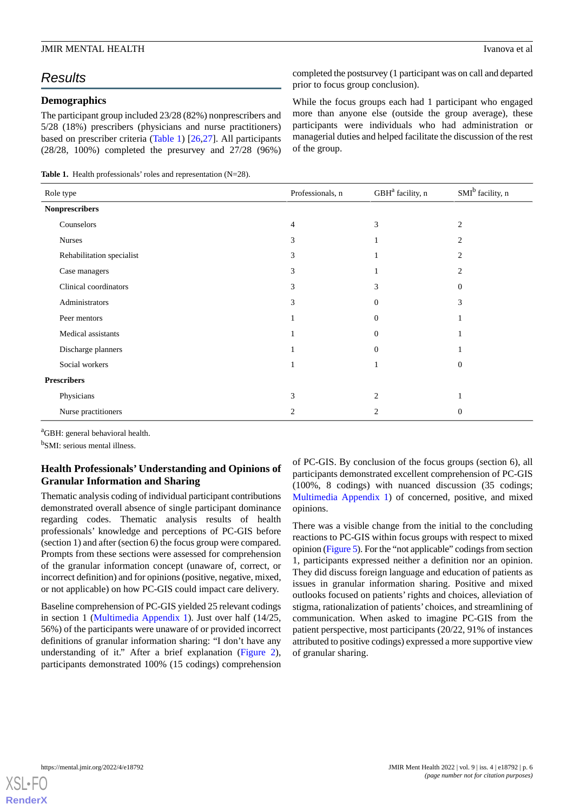# *Results*

## **Demographics**

The participant group included 23/28 (82%) nonprescribers and 5/28 (18%) prescribers (physicians and nurse practitioners) based on prescriber criteria ([Table 1](#page-5-0)) [\[26](#page-12-6)[,27](#page-12-7)]. All participants (28/28, 100%) completed the presurvey and 27/28 (96%)

<span id="page-5-0"></span>**Table 1.** Health professionals' roles and representation (N=28).

completed the postsurvey (1 participant was on call and departed prior to focus group conclusion).

While the focus groups each had 1 participant who engaged more than anyone else (outside the group average), these participants were individuals who had administration or managerial duties and helped facilitate the discussion of the rest of the group.

| Role type                 | Professionals, n | GBH <sup>a</sup> facility, n | SMI <sup>b</sup> facility, n |
|---------------------------|------------------|------------------------------|------------------------------|
| <b>Nonprescribers</b>     |                  |                              |                              |
| Counselors                | 4                | 3                            | 2                            |
| <b>Nurses</b>             | 3                |                              | $\overline{2}$               |
| Rehabilitation specialist | 3                |                              | 2                            |
| Case managers             | 3                |                              | $\overline{2}$               |
| Clinical coordinators     | 3                | 3                            | $\Omega$                     |
| Administrators            | 3                | $\Omega$                     | 3                            |
| Peer mentors              |                  | $\Omega$                     |                              |
| Medical assistants        |                  | $\Omega$                     |                              |
| Discharge planners        |                  | $\Omega$                     |                              |
| Social workers            |                  |                              | $\Omega$                     |
| <b>Prescribers</b>        |                  |                              |                              |
| Physicians                | 3                | $\mathcal{D}_{\mathcal{L}}$  |                              |
| Nurse practitioners       | 2                | 2                            | $\overline{0}$               |

<sup>a</sup>GBH: general behavioral health.

<sup>b</sup>SMI: serious mental illness.

## **Health Professionals' Understanding and Opinions of Granular Information and Sharing**

Thematic analysis coding of individual participant contributions demonstrated overall absence of single participant dominance regarding codes. Thematic analysis results of health professionals' knowledge and perceptions of PC-GIS before (section 1) and after (section 6) the focus group were compared. Prompts from these sections were assessed for comprehension of the granular information concept (unaware of, correct, or incorrect definition) and for opinions (positive, negative, mixed, or not applicable) on how PC-GIS could impact care delivery.

Baseline comprehension of PC-GIS yielded 25 relevant codings in section 1 [\(Multimedia Appendix 1](#page-11-14)). Just over half (14/25, 56%) of the participants were unaware of or provided incorrect definitions of granular information sharing: "I don't have any understanding of it." After a brief explanation ([Figure 2\)](#page-3-0), participants demonstrated 100% (15 codings) comprehension

of PC-GIS. By conclusion of the focus groups (section 6), all participants demonstrated excellent comprehension of PC-GIS (100%, 8 codings) with nuanced discussion (35 codings; [Multimedia Appendix 1](#page-11-14)) of concerned, positive, and mixed opinions.

There was a visible change from the initial to the concluding reactions to PC-GIS within focus groups with respect to mixed opinion [\(Figure 5\)](#page-6-0). For the "not applicable" codings from section 1, participants expressed neither a definition nor an opinion. They did discuss foreign language and education of patients as issues in granular information sharing. Positive and mixed outlooks focused on patients' rights and choices, alleviation of stigma, rationalization of patients' choices, and streamlining of communication. When asked to imagine PC-GIS from the patient perspective, most participants (20/22, 91% of instances attributed to positive codings) expressed a more supportive view of granular sharing.

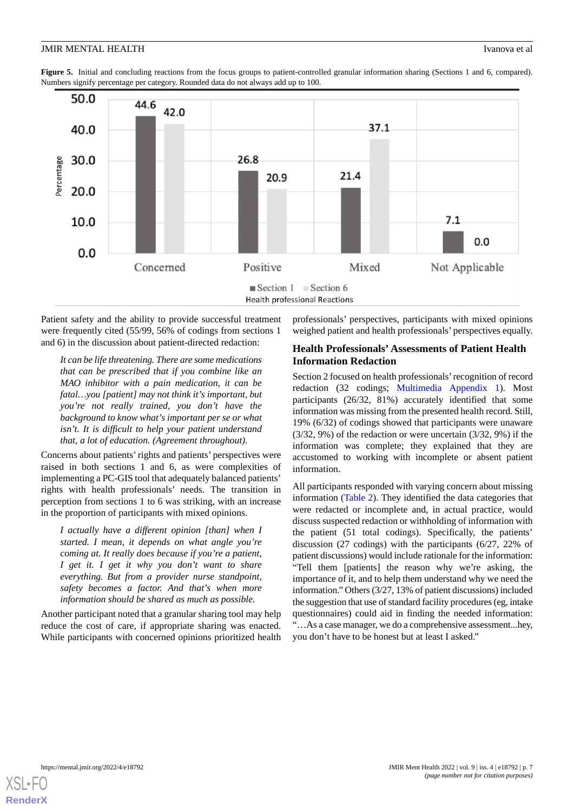<span id="page-6-0"></span>**Figure 5.** Initial and concluding reactions from the focus groups to patient-controlled granular information sharing (Sections 1 and 6, compared). Numbers signify percentage per category. Rounded data do not always add up to 100.



Patient safety and the ability to provide successful treatment were frequently cited (55/99, 56% of codings from sections 1 and 6) in the discussion about patient-directed redaction:

*It can be life threatening. There are some medications that can be prescribed that if you combine like an MAO inhibitor with a pain medication, it can be fatal…you [patient] may not think it's important, but you're not really trained, you don't have the background to know what's important per se or what isn't. It is difficult to help your patient understand that, a lot of education. (Agreement throughout).*

Concerns about patients' rights and patients' perspectives were raised in both sections 1 and 6, as were complexities of implementing a PC-GIS tool that adequately balanced patients' rights with health professionals' needs. The transition in perception from sections 1 to 6 was striking, with an increase in the proportion of participants with mixed opinions.

*I actually have a different opinion [than] when I started. I mean, it depends on what angle you're coming at. It really does because if you're a patient, I get it. I get it why you don't want to share everything. But from a provider nurse standpoint, safety becomes a factor. And that's when more information should be shared as much as possible.*

Another participant noted that a granular sharing tool may help reduce the cost of care, if appropriate sharing was enacted. While participants with concerned opinions prioritized health professionals' perspectives, participants with mixed opinions weighed patient and health professionals' perspectives equally.

## **Health Professionals' Assessments of Patient Health Information Redaction**

Section 2 focused on health professionals'recognition of record redaction (32 codings; [Multimedia Appendix 1](#page-11-14)). Most participants (26/32, 81%) accurately identified that some information was missing from the presented health record. Still, 19% (6/32) of codings showed that participants were unaware (3/32, 9%) of the redaction or were uncertain (3/32, 9%) if the information was complete; they explained that they are accustomed to working with incomplete or absent patient information.

All participants responded with varying concern about missing information [\(Table 2\)](#page-7-0). They identified the data categories that were redacted or incomplete and, in actual practice, would discuss suspected redaction or withholding of information with the patient (51 total codings). Specifically, the patients' discussion (27 codings) with the participants (6/27, 22% of patient discussions) would include rationale for the information: "Tell them [patients] the reason why we're asking, the importance of it, and to help them understand why we need the information." Others (3/27, 13% of patient discussions) included the suggestion that use of standard facility procedures (eg, intake questionnaires) could aid in finding the needed information: "…As a case manager, we do a comprehensive assessment...hey, you don't have to be honest but at least I asked."

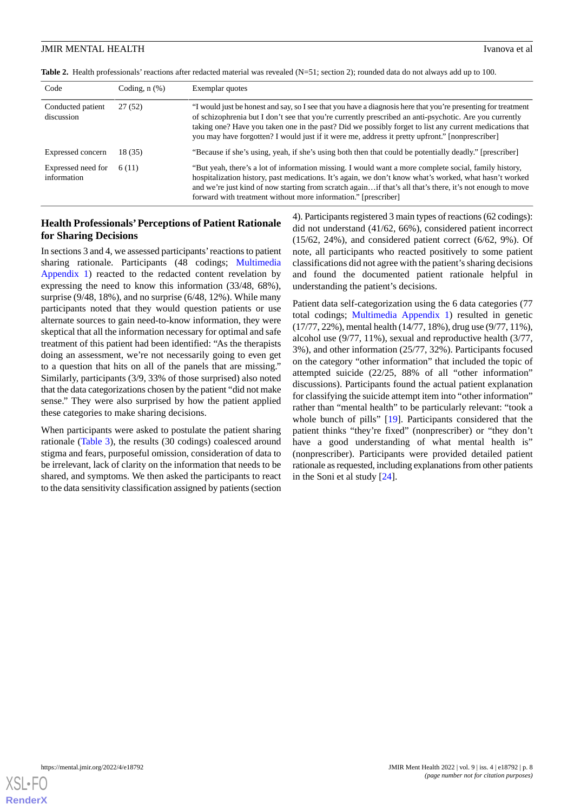<span id="page-7-0"></span>**Table 2.** Health professionals' reactions after redacted material was revealed (N=51; section 2); rounded data do not always add up to 100.

| Code                              | Coding, $n$ $(\%)$ | Exemplar quotes                                                                                                                                                                                                                                                                                                                                                                                                                       |
|-----------------------------------|--------------------|---------------------------------------------------------------------------------------------------------------------------------------------------------------------------------------------------------------------------------------------------------------------------------------------------------------------------------------------------------------------------------------------------------------------------------------|
| Conducted patient<br>discussion   | 27(52)             | "I would just be honest and say, so I see that you have a diagnosis here that you're presenting for treatment<br>of schizophrenia but I don't see that you're currently prescribed an anti-psychotic. Are you currently<br>taking one? Have you taken one in the past? Did we possibly forget to list any current medications that<br>you may have forgotten? I would just if it were me, address it pretty upfront." [nonprescriber] |
| Expressed concern                 | 18 (35)            | "Because if she's using, yeah, if she's using both then that could be potentially deadly." [prescriber]                                                                                                                                                                                                                                                                                                                               |
| Expressed need for<br>information | 6(11)              | "But yeah, there's a lot of information missing. I would want a more complete social, family history,<br>hospitalization history, past medications. It's again, we don't know what's worked, what hasn't worked<br>and we're just kind of now starting from scratch again if that's all that's there, it's not enough to move<br>forward with treatment without more information." [prescriber]                                       |

## **Health Professionals'Perceptions of Patient Rationale for Sharing Decisions**

In sections 3 and 4, we assessed participants'reactions to patient sharing rationale. Participants (48 codings; [Multimedia](#page-11-14) [Appendix 1\)](#page-11-14) reacted to the redacted content revelation by expressing the need to know this information (33/48, 68%), surprise (9/48, 18%), and no surprise (6/48, 12%). While many participants noted that they would question patients or use alternate sources to gain need-to-know information, they were skeptical that all the information necessary for optimal and safe treatment of this patient had been identified: "As the therapists doing an assessment, we're not necessarily going to even get to a question that hits on all of the panels that are missing." Similarly, participants (3/9, 33% of those surprised) also noted that the data categorizations chosen by the patient "did not make sense." They were also surprised by how the patient applied these categories to make sharing decisions.

When participants were asked to postulate the patient sharing rationale ([Table 3](#page-8-0)), the results (30 codings) coalesced around stigma and fears, purposeful omission, consideration of data to be irrelevant, lack of clarity on the information that needs to be shared, and symptoms. We then asked the participants to react to the data sensitivity classification assigned by patients (section

4). Participants registered 3 main types of reactions (62 codings): did not understand (41/62, 66%), considered patient incorrect (15/62, 24%), and considered patient correct (6/62, 9%). Of note, all participants who reacted positively to some patient classifications did not agree with the patient's sharing decisions and found the documented patient rationale helpful in understanding the patient's decisions.

Patient data self-categorization using the 6 data categories (77 total codings; [Multimedia Appendix 1](#page-11-14)) resulted in genetic (17/77, 22%), mental health (14/77, 18%), drug use (9/77, 11%), alcohol use (9/77, 11%), sexual and reproductive health (3/77, 3%), and other information (25/77, 32%). Participants focused on the category "other information" that included the topic of attempted suicide (22/25, 88% of all "other information" discussions). Participants found the actual patient explanation for classifying the suicide attempt item into "other information" rather than "mental health" to be particularly relevant: "took a whole bunch of pills" [\[19](#page-12-0)]. Participants considered that the patient thinks "they're fixed" (nonprescriber) or "they don't have a good understanding of what mental health is" (nonprescriber). Participants were provided detailed patient rationale as requested, including explanations from other patients in the Soni et al study [\[24](#page-12-4)].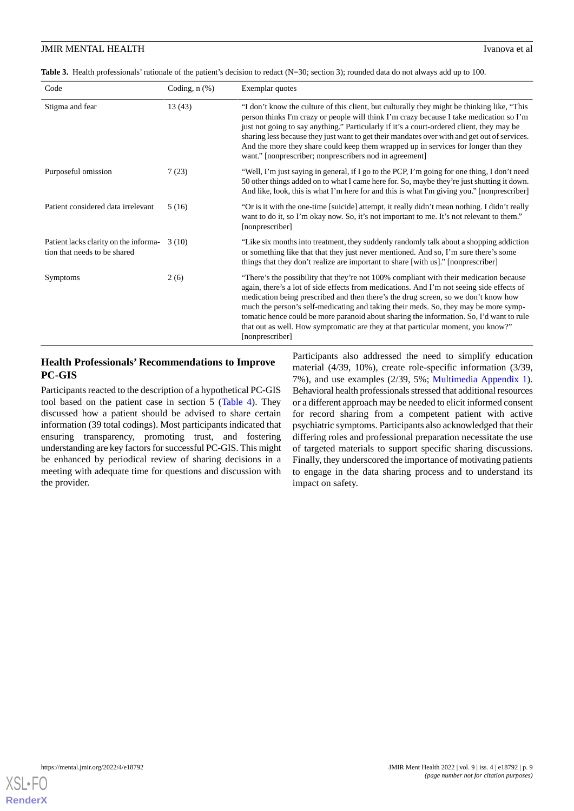## **JMIR MENTAL HEALTH** Ivanova et al.

<span id="page-8-0"></span>Table 3. Health professionals' rationale of the patient's decision to redact (N=30; section 3); rounded data do not always add up to 100.

| Code                                                                  | Coding, $n$ $(\%)$ | Exemplar quotes                                                                                                                                                                                                                                                                                                                                                                                                                                                                                                                                                     |
|-----------------------------------------------------------------------|--------------------|---------------------------------------------------------------------------------------------------------------------------------------------------------------------------------------------------------------------------------------------------------------------------------------------------------------------------------------------------------------------------------------------------------------------------------------------------------------------------------------------------------------------------------------------------------------------|
| Stigma and fear                                                       | 13(43)             | "I don't know the culture of this client, but culturally they might be thinking like, "This"<br>person thinks I'm crazy or people will think I'm crazy because I take medication so I'm<br>just not going to say anything." Particularly if it's a court-ordered client, they may be<br>sharing less because they just want to get their mandates over with and get out of services.<br>And the more they share could keep them wrapped up in services for longer than they<br>want." [nonprescriber; nonprescribers nod in agreement]                              |
| Purposeful omission                                                   | 7(23)              | "Well, I'm just saying in general, if I go to the PCP, I'm going for one thing, I don't need<br>50 other things added on to what I came here for. So, maybe they're just shutting it down.<br>And like, look, this is what I'm here for and this is what I'm giving you." [nonprescriber]                                                                                                                                                                                                                                                                           |
| Patient considered data irrelevant                                    | 5(16)              | "Or is it with the one-time [suicide] attempt, it really didn't mean nothing. I didn't really<br>want to do it, so I'm okay now. So, it's not important to me. It's not relevant to them."<br>[nonprescriber]                                                                                                                                                                                                                                                                                                                                                       |
| Patient lacks clarity on the informa-<br>tion that needs to be shared | 3(10)              | "Like six months into treatment, they suddenly randomly talk about a shopping addiction<br>or something like that that they just never mentioned. And so, I'm sure there's some<br>things that they don't realize are important to share [with us]." [nonprescriber]                                                                                                                                                                                                                                                                                                |
| <b>Symptoms</b>                                                       | 2(6)               | "There's the possibility that they're not 100% compliant with their medication because<br>again, there's a lot of side effects from medications. And I'm not seeing side effects of<br>medication being prescribed and then there's the drug screen, so we don't know how<br>much the person's self-medicating and taking their meds. So, they may be more symp-<br>tomatic hence could be more paranoid about sharing the information. So, I'd want to rule<br>that out as well. How symptomatic are they at that particular moment, you know?"<br>[nonprescriber] |

## **Health Professionals' Recommendations to Improve PC-GIS**

Participants reacted to the description of a hypothetical PC-GIS tool based on the patient case in section 5 ([Table 4](#page-9-0)). They discussed how a patient should be advised to share certain information (39 total codings). Most participants indicated that ensuring transparency, promoting trust, and fostering understanding are key factors for successful PC-GIS. This might be enhanced by periodical review of sharing decisions in a meeting with adequate time for questions and discussion with the provider.

Participants also addressed the need to simplify education material (4/39, 10%), create role-specific information (3/39, 7%), and use examples (2/39, 5%; [Multimedia Appendix 1\)](#page-11-14). Behavioral health professionals stressed that additional resources or a different approach may be needed to elicit informed consent for record sharing from a competent patient with active psychiatric symptoms. Participants also acknowledged that their differing roles and professional preparation necessitate the use of targeted materials to support specific sharing discussions. Finally, they underscored the importance of motivating patients to engage in the data sharing process and to understand its impact on safety.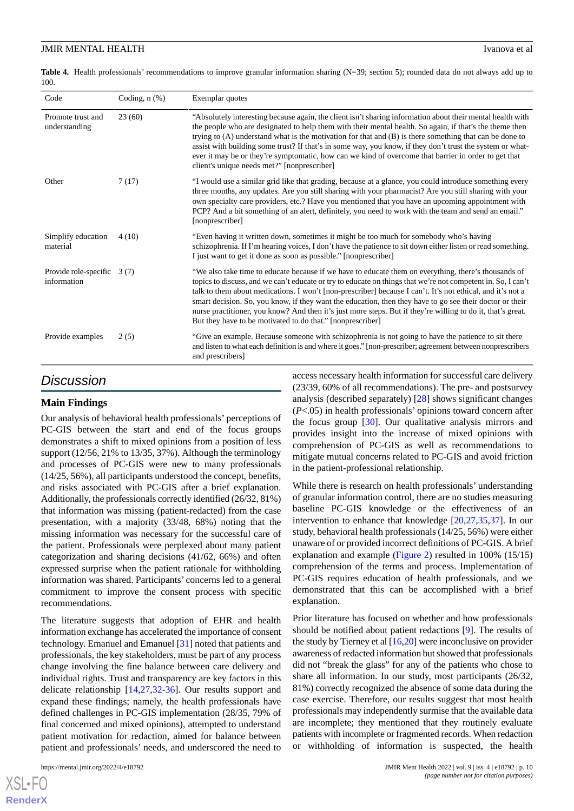<span id="page-9-0"></span>**Table 4.** Health professionals' recommendations to improve granular information sharing (N=39; section 5); rounded data do not always add up to 100.

| Code                                        | Coding, $n$ $(\%)$ | Exemplar quotes                                                                                                                                                                                                                                                                                                                                                                                                                                                                                                                                                                                                             |  |
|---------------------------------------------|--------------------|-----------------------------------------------------------------------------------------------------------------------------------------------------------------------------------------------------------------------------------------------------------------------------------------------------------------------------------------------------------------------------------------------------------------------------------------------------------------------------------------------------------------------------------------------------------------------------------------------------------------------------|--|
| Promote trust and<br>understanding          | 23(60)             | "Absolutely interesting because again, the client isn't sharing information about their mental health with<br>the people who are designated to help them with their mental health. So again, if that's the theme then<br>trying to (A) understand what is the motivation for that and (B) is there something that can be done to<br>assist with building some trust? If that's in some way, you know, if they don't trust the system or what-<br>ever it may be or they're symptomatic, how can we kind of overcome that barrier in order to get that<br>client's unique needs met?" [nonprescriber]                        |  |
| Other                                       | 7(17)              | "I would use a similar grid like that grading, because at a glance, you could introduce something every<br>three months, any updates. Are you still sharing with your pharmacist? Are you still sharing with your<br>own specialty care providers, etc.? Have you mentioned that you have an upcoming appointment with<br>PCP? And a bit something of an alert, definitely, you need to work with the team and send an email."<br>[nonprescriber]                                                                                                                                                                           |  |
| Simplify education<br>material              | 4(10)              | "Even having it written down, sometimes it might be too much for somebody who's having<br>schizophrenia. If I'm hearing voices, I don't have the patience to sit down either listen or read something.<br>I just want to get it done as soon as possible." [nonprescriber]                                                                                                                                                                                                                                                                                                                                                  |  |
| Provide role-specific $3(7)$<br>information |                    | "We also take time to educate because if we have to educate them on everything, there's thousands of<br>topics to discuss, and we can't educate or try to educate on things that we're not competent in. So, I can't<br>talk to them about medications. I won't [non-prescriber] because I can't. It's not ethical, and it's not a<br>smart decision. So, you know, if they want the education, then they have to go see their doctor or their<br>nurse practitioner, you know? And then it's just more steps. But if they're willing to do it, that's great.<br>But they have to be motivated to do that." [nonprescriber] |  |
| Provide examples                            | 2(5)               | "Give an example. Because someone with schizophrenia is not going to have the patience to sit there<br>and listen to what each definition is and where it goes." [non-prescriber; agreement between nonprescribers<br>and prescribers]                                                                                                                                                                                                                                                                                                                                                                                      |  |

## *Discussion*

## **Main Findings**

Our analysis of behavioral health professionals' perceptions of PC-GIS between the start and end of the focus groups demonstrates a shift to mixed opinions from a position of less support (12/56, 21% to 13/35, 37%). Although the terminology and processes of PC-GIS were new to many professionals (14/25, 56%), all participants understood the concept, benefits, and risks associated with PC-GIS after a brief explanation. Additionally, the professionals correctly identified (26/32, 81%) that information was missing (patient-redacted) from the case presentation, with a majority (33/48, 68%) noting that the missing information was necessary for the successful care of the patient. Professionals were perplexed about many patient categorization and sharing decisions (41/62, 66%) and often expressed surprise when the patient rationale for withholding information was shared. Participants' concerns led to a general commitment to improve the consent process with specific recommendations.

The literature suggests that adoption of EHR and health information exchange has accelerated the importance of consent technology. Emanuel and Emanuel [[31\]](#page-12-11) noted that patients and professionals, the key stakeholders, must be part of any process change involving the fine balance between care delivery and individual rights. Trust and transparency are key factors in this delicate relationship [\[14](#page-11-15),[27,](#page-12-7)[32](#page-12-12)-[36\]](#page-12-13). Our results support and expand these findings; namely, the health professionals have defined challenges in PC-GIS implementation (28/35, 79% of final concerned and mixed opinions), attempted to understand patient motivation for redaction, aimed for balance between patient and professionals' needs, and underscored the need to

[XSL](http://www.w3.org/Style/XSL)•FO **[RenderX](http://www.renderx.com/)** access necessary health information for successful care delivery (23/39, 60% of all recommendations). The pre- and postsurvey analysis (described separately) [[28\]](#page-12-8) shows significant changes (*P*<.05) in health professionals' opinions toward concern after the focus group  $[30]$  $[30]$ . Our qualitative analysis mirrors and provides insight into the increase of mixed opinions with comprehension of PC-GIS as well as recommendations to mitigate mutual concerns related to PC-GIS and avoid friction in the patient-professional relationship.

While there is research on health professionals' understanding of granular information control, there are no studies measuring baseline PC-GIS knowledge or the effectiveness of an intervention to enhance that knowledge [\[20](#page-12-1),[27,](#page-12-7)[35](#page-12-14),[37\]](#page-12-15). In our study, behavioral health professionals (14/25, 56%) were either unaware of or provided incorrect definitions of PC-GIS. A brief explanation and example ([Figure 2\)](#page-3-0) resulted in 100% (15/15) comprehension of the terms and process. Implementation of PC-GIS requires education of health professionals, and we demonstrated that this can be accomplished with a brief explanation.

Prior literature has focused on whether and how professionals should be notified about patient redactions [[9\]](#page-11-5). The results of the study by Tierney et al  $[16,20]$  $[16,20]$  $[16,20]$  $[16,20]$  were inconclusive on provider awareness of redacted information but showed that professionals did not "break the glass" for any of the patients who chose to share all information. In our study, most participants (26/32, 81%) correctly recognized the absence of some data during the case exercise. Therefore, our results suggest that most health professionals may independently surmise that the available data are incomplete; they mentioned that they routinely evaluate patients with incomplete or fragmented records. When redaction or withholding of information is suspected, the health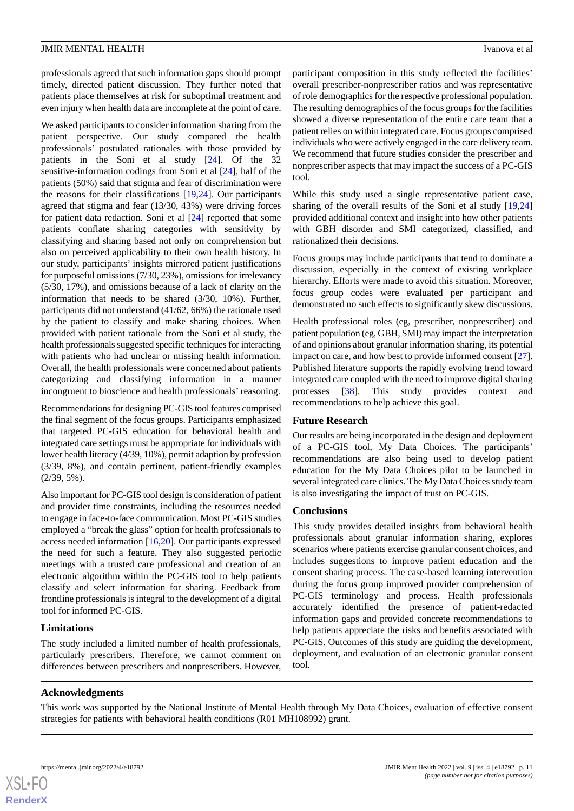#### **JMIR MENTAL HEALTH** IVANOVA ET ALCOHOLOGICAL IN THE UNIVERSITY OF A LOCAL INCOLLECT IN THE UNIVERSITY OF A LOCAL INCOLLECT IN THE UNIVERSITY OF A LOCAL INCOLLECT IN THE UNIVERSITY OF A LOCAL INCOLLECT IN THE UNIVERSITY OF

professionals agreed that such information gaps should prompt timely, directed patient discussion. They further noted that patients place themselves at risk for suboptimal treatment and even injury when health data are incomplete at the point of care.

We asked participants to consider information sharing from the patient perspective. Our study compared the health professionals' postulated rationales with those provided by patients in the Soni et al study [[24\]](#page-12-4). Of the 32 sensitive-information codings from Soni et al [\[24](#page-12-4)], half of the patients (50%) said that stigma and fear of discrimination were the reasons for their classifications [[19,](#page-12-0)[24](#page-12-4)]. Our participants agreed that stigma and fear (13/30, 43%) were driving forces for patient data redaction. Soni et al [\[24](#page-12-4)] reported that some patients conflate sharing categories with sensitivity by classifying and sharing based not only on comprehension but also on perceived applicability to their own health history. In our study, participants' insights mirrored patient justifications for purposeful omissions (7/30, 23%), omissions for irrelevancy (5/30, 17%), and omissions because of a lack of clarity on the information that needs to be shared (3/30, 10%). Further, participants did not understand (41/62, 66%) the rationale used by the patient to classify and make sharing choices. When provided with patient rationale from the Soni et al study, the health professionals suggested specific techniques for interacting with patients who had unclear or missing health information. Overall, the health professionals were concerned about patients categorizing and classifying information in a manner incongruent to bioscience and health professionals' reasoning.

Recommendations for designing PC-GIS tool features comprised the final segment of the focus groups. Participants emphasized that targeted PC-GIS education for behavioral health and integrated care settings must be appropriate for individuals with lower health literacy (4/39, 10%), permit adaption by profession (3/39, 8%), and contain pertinent, patient-friendly examples (2/39, 5%).

Also important for PC-GIS tool design is consideration of patient and provider time constraints, including the resources needed to engage in face-to-face communication. Most PC-GIS studies employed a "break the glass" option for health professionals to access needed information [\[16](#page-11-10),[20\]](#page-12-1). Our participants expressed the need for such a feature. They also suggested periodic meetings with a trusted care professional and creation of an electronic algorithm within the PC-GIS tool to help patients classify and select information for sharing. Feedback from frontline professionals is integral to the development of a digital tool for informed PC-GIS.

## **Limitations**

The study included a limited number of health professionals, particularly prescribers. Therefore, we cannot comment on differences between prescribers and nonprescribers. However,

participant composition in this study reflected the facilities' overall prescriber-nonprescriber ratios and was representative of role demographics for the respective professional population. The resulting demographics of the focus groups for the facilities showed a diverse representation of the entire care team that a patient relies on within integrated care. Focus groups comprised individuals who were actively engaged in the care delivery team. We recommend that future studies consider the prescriber and nonprescriber aspects that may impact the success of a PC-GIS tool.

While this study used a single representative patient case, sharing of the overall results of the Soni et al study [[19](#page-12-0)[,24](#page-12-4)] provided additional context and insight into how other patients with GBH disorder and SMI categorized, classified, and rationalized their decisions.

Focus groups may include participants that tend to dominate a discussion, especially in the context of existing workplace hierarchy. Efforts were made to avoid this situation. Moreover, focus group codes were evaluated per participant and demonstrated no such effects to significantly skew discussions.

Health professional roles (eg, prescriber, nonprescriber) and patient population (eg, GBH, SMI) may impact the interpretation of and opinions about granular information sharing, its potential impact on care, and how best to provide informed consent [[27\]](#page-12-7). Published literature supports the rapidly evolving trend toward integrated care coupled with the need to improve digital sharing processes [[38\]](#page-12-16). This study provides context and recommendations to help achieve this goal.

## **Future Research**

Our results are being incorporated in the design and deployment of a PC-GIS tool, My Data Choices. The participants' recommendations are also being used to develop patient education for the My Data Choices pilot to be launched in several integrated care clinics. The My Data Choices study team is also investigating the impact of trust on PC-GIS.

## **Conclusions**

This study provides detailed insights from behavioral health professionals about granular information sharing, explores scenarios where patients exercise granular consent choices, and includes suggestions to improve patient education and the consent sharing process. The case-based learning intervention during the focus group improved provider comprehension of PC-GIS terminology and process. Health professionals accurately identified the presence of patient-redacted information gaps and provided concrete recommendations to help patients appreciate the risks and benefits associated with PC-GIS. Outcomes of this study are guiding the development, deployment, and evaluation of an electronic granular consent tool.

## **Acknowledgments**

This work was supported by the National Institute of Mental Health through My Data Choices, evaluation of effective consent strategies for patients with behavioral health conditions (R01 MH108992) grant.

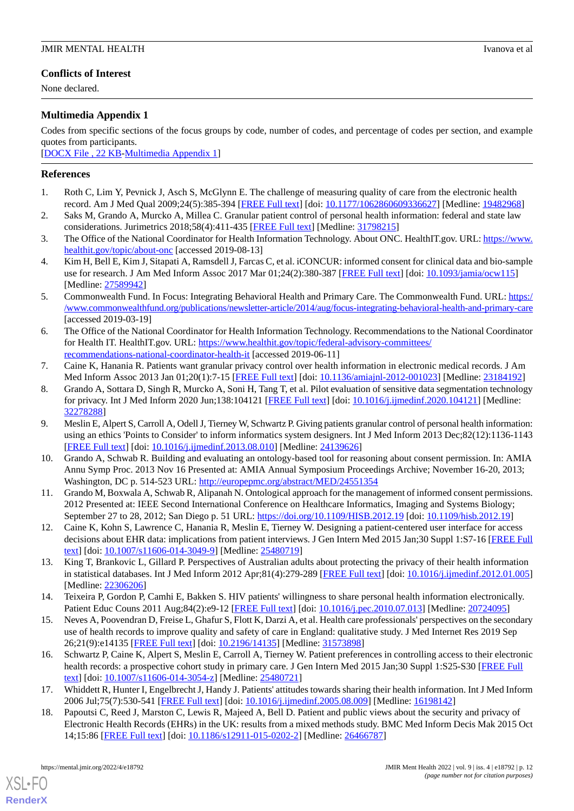## **Conflicts of Interest**

None declared.

## <span id="page-11-14"></span>**Multimedia Appendix 1**

Codes from specific sections of the focus groups by code, number of codes, and percentage of codes per section, and example quotes from participants.

[[DOCX File , 22 KB](https://jmir.org/api/download?alt_name=mental_v9i4e18792_app1.docx&filename=5b65ec69bf83ae224bdaa02bed4a42c2.docx)-[Multimedia Appendix 1\]](https://jmir.org/api/download?alt_name=mental_v9i4e18792_app1.docx&filename=5b65ec69bf83ae224bdaa02bed4a42c2.docx)

## <span id="page-11-0"></span>**References**

- <span id="page-11-13"></span>1. Roth C, Lim Y, Pevnick J, Asch S, McGlynn E. The challenge of measuring quality of care from the electronic health record. Am J Med Qual 2009;24(5):385-394 [\[FREE Full text](https://doi.org/10.1177/1062860609336627)] [doi: [10.1177/1062860609336627](http://dx.doi.org/10.1177/1062860609336627)] [Medline: [19482968\]](http://www.ncbi.nlm.nih.gov/entrez/query.fcgi?cmd=Retrieve&db=PubMed&list_uids=19482968&dopt=Abstract)
- 2. Saks M, Grando A, Murcko A, Millea C. Granular patient control of personal health information: federal and state law considerations. Jurimetrics 2018;58(4):411-435 [[FREE Full text](http://europepmc.org/abstract/MED/31798215)] [Medline: [31798215\]](http://www.ncbi.nlm.nih.gov/entrez/query.fcgi?cmd=Retrieve&db=PubMed&list_uids=31798215&dopt=Abstract)
- <span id="page-11-7"></span>3. The Office of the National Coordinator for Health Information Technology. About ONC. HealthIT.gov. URL: [https://www.](https://www.healthit.gov/topic/about-onc) [healthit.gov/topic/about-onc](https://www.healthit.gov/topic/about-onc) [accessed 2019-08-13]
- <span id="page-11-2"></span>4. Kim H, Bell E, Kim J, Sitapati A, Ramsdell J, Farcas C, et al. iCONCUR: informed consent for clinical data and bio-sample use for research. J Am Med Inform Assoc 2017 Mar 01;24(2):380-387 [[FREE Full text](http://europepmc.org/abstract/MED/27589942)] [doi: [10.1093/jamia/ocw115](http://dx.doi.org/10.1093/jamia/ocw115)] [Medline: [27589942](http://www.ncbi.nlm.nih.gov/entrez/query.fcgi?cmd=Retrieve&db=PubMed&list_uids=27589942&dopt=Abstract)]
- <span id="page-11-1"></span>5. Commonwealth Fund. In Focus: Integrating Behavioral Health and Primary Care. The Commonwealth Fund. URL: [https:/](https://www.commonwealthfund.org/publications/newsletter-article/2014/aug/focus-integrating-behavioral-health-and-primary-care) [/www.commonwealthfund.org/publications/newsletter-article/2014/aug/focus-integrating-behavioral-health-and-primary-care](https://www.commonwealthfund.org/publications/newsletter-article/2014/aug/focus-integrating-behavioral-health-and-primary-care) [accessed 2019-03-19]
- <span id="page-11-3"></span>6. The Office of the National Coordinator for Health Information Technology. Recommendations to the National Coordinator for Health IT. HealthIT.gov. URL: [https://www.healthit.gov/topic/federal-advisory-committees/](https://www.healthit.gov/topic/federal-advisory-committees/recommendations-national-coordinator-health-it) [recommendations-national-coordinator-health-it](https://www.healthit.gov/topic/federal-advisory-committees/recommendations-national-coordinator-health-it) [accessed 2019-06-11]
- <span id="page-11-4"></span>7. Caine K, Hanania R. Patients want granular privacy control over health information in electronic medical records. J Am Med Inform Assoc 2013 Jan 01;20(1):7-15 [\[FREE Full text\]](http://europepmc.org/abstract/MED/23184192) [doi: [10.1136/amiajnl-2012-001023\]](http://dx.doi.org/10.1136/amiajnl-2012-001023) [Medline: [23184192\]](http://www.ncbi.nlm.nih.gov/entrez/query.fcgi?cmd=Retrieve&db=PubMed&list_uids=23184192&dopt=Abstract)
- <span id="page-11-5"></span>8. Grando A, Sottara D, Singh R, Murcko A, Soni H, Tang T, et al. Pilot evaluation of sensitive data segmentation technology for privacy. Int J Med Inform 2020 Jun;138:104121 [\[FREE Full text\]](http://europepmc.org/abstract/MED/32278288) [doi: [10.1016/j.ijmedinf.2020.104121](http://dx.doi.org/10.1016/j.ijmedinf.2020.104121)] [Medline: [32278288](http://www.ncbi.nlm.nih.gov/entrez/query.fcgi?cmd=Retrieve&db=PubMed&list_uids=32278288&dopt=Abstract)]
- 9. Meslin E, Alpert S, Carroll A, Odell J, Tierney W, Schwartz P. Giving patients granular control of personal health information: using an ethics 'Points to Consider' to inform informatics system designers. Int J Med Inform 2013 Dec;82(12):1136-1143 [[FREE Full text](https://linkinghub.elsevier.com/retrieve/pii/S1386-5056(13)00189-5)] [doi: [10.1016/j.ijmedinf.2013.08.010](http://dx.doi.org/10.1016/j.ijmedinf.2013.08.010)] [Medline: [24139626](http://www.ncbi.nlm.nih.gov/entrez/query.fcgi?cmd=Retrieve&db=PubMed&list_uids=24139626&dopt=Abstract)]
- <span id="page-11-8"></span><span id="page-11-6"></span>10. Grando A, Schwab R. Building and evaluating an ontology-based tool for reasoning about consent permission. In: AMIA Annu Symp Proc. 2013 Nov 16 Presented at: AMIA Annual Symposium Proceedings Archive; November 16-20, 2013; Washington, DC p. 514-523 URL: <http://europepmc.org/abstract/MED/24551354>
- 11. Grando M, Boxwala A, Schwab R, Alipanah N. Ontological approach for the management of informed consent permissions. 2012 Presented at: IEEE Second International Conference on Healthcare Informatics, Imaging and Systems Biology; September 27 to 28, 2012; San Diego p. 51 URL: <https://doi.org/10.1109/HISB.2012.19> [doi: [10.1109/hisb.2012.19](http://dx.doi.org/10.1109/hisb.2012.19)]
- <span id="page-11-15"></span>12. Caine K, Kohn S, Lawrence C, Hanania R, Meslin E, Tierney W. Designing a patient-centered user interface for access decisions about EHR data: implications from patient interviews. J Gen Intern Med 2015 Jan;30 Suppl 1:S7-16 [[FREE Full](http://europepmc.org/abstract/MED/25480719) [text](http://europepmc.org/abstract/MED/25480719)] [doi: [10.1007/s11606-014-3049-9\]](http://dx.doi.org/10.1007/s11606-014-3049-9) [Medline: [25480719](http://www.ncbi.nlm.nih.gov/entrez/query.fcgi?cmd=Retrieve&db=PubMed&list_uids=25480719&dopt=Abstract)]
- <span id="page-11-9"></span>13. King T, Brankovic L, Gillard P. Perspectives of Australian adults about protecting the privacy of their health information in statistical databases. Int J Med Inform 2012 Apr;81(4):279-289 [\[FREE Full text](https://doi.org/10.1016/j.ijmedinf.2012.01.005)] [doi: [10.1016/j.ijmedinf.2012.01.005](http://dx.doi.org/10.1016/j.ijmedinf.2012.01.005)] [Medline: [22306206](http://www.ncbi.nlm.nih.gov/entrez/query.fcgi?cmd=Retrieve&db=PubMed&list_uids=22306206&dopt=Abstract)]
- <span id="page-11-10"></span>14. Teixeira P, Gordon P, Camhi E, Bakken S. HIV patients' willingness to share personal health information electronically. Patient Educ Couns 2011 Aug;84(2):e9-12 [\[FREE Full text\]](http://europepmc.org/abstract/MED/20724095) [doi: [10.1016/j.pec.2010.07.013\]](http://dx.doi.org/10.1016/j.pec.2010.07.013) [Medline: [20724095\]](http://www.ncbi.nlm.nih.gov/entrez/query.fcgi?cmd=Retrieve&db=PubMed&list_uids=20724095&dopt=Abstract)
- <span id="page-11-11"></span>15. Neves A, Poovendran D, Freise L, Ghafur S, Flott K, Darzi A, et al. Health care professionals' perspectives on the secondary use of health records to improve quality and safety of care in England: qualitative study. J Med Internet Res 2019 Sep 26;21(9):e14135 [\[FREE Full text](https://www.jmir.org/2019/9/e14135/)] [doi: [10.2196/14135\]](http://dx.doi.org/10.2196/14135) [Medline: [31573898\]](http://www.ncbi.nlm.nih.gov/entrez/query.fcgi?cmd=Retrieve&db=PubMed&list_uids=31573898&dopt=Abstract)
- <span id="page-11-12"></span>16. Schwartz P, Caine K, Alpert S, Meslin E, Carroll A, Tierney W. Patient preferences in controlling access to their electronic health records: a prospective cohort study in primary care. J Gen Intern Med 2015 Jan;30 Suppl 1:S25-S30 [\[FREE Full](http://europepmc.org/abstract/MED/25480721) [text](http://europepmc.org/abstract/MED/25480721)] [doi: [10.1007/s11606-014-3054-z](http://dx.doi.org/10.1007/s11606-014-3054-z)] [Medline: [25480721\]](http://www.ncbi.nlm.nih.gov/entrez/query.fcgi?cmd=Retrieve&db=PubMed&list_uids=25480721&dopt=Abstract)
- 17. Whiddett R, Hunter I, Engelbrecht J, Handy J. Patients' attitudes towards sharing their health information. Int J Med Inform 2006 Jul;75(7):530-541 [\[FREE Full text\]](https://doi.org/10.1016/j.ijmedinf.2005.08.009) [doi: [10.1016/j.ijmedinf.2005.08.009\]](http://dx.doi.org/10.1016/j.ijmedinf.2005.08.009) [Medline: [16198142](http://www.ncbi.nlm.nih.gov/entrez/query.fcgi?cmd=Retrieve&db=PubMed&list_uids=16198142&dopt=Abstract)]
- 18. Papoutsi C, Reed J, Marston C, Lewis R, Majeed A, Bell D. Patient and public views about the security and privacy of Electronic Health Records (EHRs) in the UK: results from a mixed methods study. BMC Med Inform Decis Mak 2015 Oct 14;15:86 [[FREE Full text](https://bmcmedinformdecismak.biomedcentral.com/articles/10.1186/s12911-015-0202-2)] [doi: [10.1186/s12911-015-0202-2\]](http://dx.doi.org/10.1186/s12911-015-0202-2) [Medline: [26466787\]](http://www.ncbi.nlm.nih.gov/entrez/query.fcgi?cmd=Retrieve&db=PubMed&list_uids=26466787&dopt=Abstract)

[XSL](http://www.w3.org/Style/XSL)•FO **[RenderX](http://www.renderx.com/)**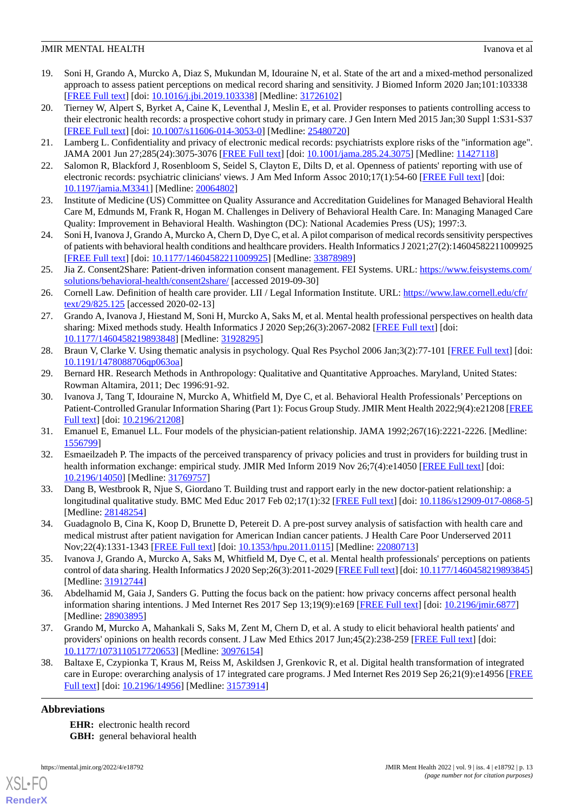## **JMIR MENTAL HEALTH** IVANOVA ET ALCOHOLOGICAL IN THE UNIVERSITY OF A LOCAL INCOLLECT IN THE UNIVERSITY OF A LOCAL INCOLLECT IN THE UNIVERSITY OF A LOCAL INCOLLECT IN THE UNIVERSITY OF A LOCAL INCOLLECT IN THE UNIVERSITY OF

- <span id="page-12-0"></span>19. Soni H, Grando A, Murcko A, Diaz S, Mukundan M, Idouraine N, et al. State of the art and a mixed-method personalized approach to assess patient perceptions on medical record sharing and sensitivity. J Biomed Inform 2020 Jan;101:103338 [[FREE Full text](https://linkinghub.elsevier.com/retrieve/pii/S1532-0464(19)30257-6)] [doi: [10.1016/j.jbi.2019.103338\]](http://dx.doi.org/10.1016/j.jbi.2019.103338) [Medline: [31726102](http://www.ncbi.nlm.nih.gov/entrez/query.fcgi?cmd=Retrieve&db=PubMed&list_uids=31726102&dopt=Abstract)]
- <span id="page-12-1"></span>20. Tierney W, Alpert S, Byrket A, Caine K, Leventhal J, Meslin E, et al. Provider responses to patients controlling access to their electronic health records: a prospective cohort study in primary care. J Gen Intern Med 2015 Jan;30 Suppl 1:S31-S37 [[FREE Full text](http://europepmc.org/abstract/MED/25480720)] [doi: [10.1007/s11606-014-3053-0\]](http://dx.doi.org/10.1007/s11606-014-3053-0) [Medline: [25480720](http://www.ncbi.nlm.nih.gov/entrez/query.fcgi?cmd=Retrieve&db=PubMed&list_uids=25480720&dopt=Abstract)]
- <span id="page-12-2"></span>21. Lamberg L. Confidentiality and privacy of electronic medical records: psychiatrists explore risks of the "information age". JAMA 2001 Jun 27;285(24):3075-3076 [[FREE Full text](https://doi.org/10.1001/jama.285.24.3075)] [doi: [10.1001/jama.285.24.3075\]](http://dx.doi.org/10.1001/jama.285.24.3075) [Medline: [11427118\]](http://www.ncbi.nlm.nih.gov/entrez/query.fcgi?cmd=Retrieve&db=PubMed&list_uids=11427118&dopt=Abstract)
- <span id="page-12-3"></span>22. Salomon R, Blackford J, Rosenbloom S, Seidel S, Clayton E, Dilts D, et al. Openness of patients' reporting with use of electronic records: psychiatric clinicians' views. J Am Med Inform Assoc 2010;17(1):54-60 [[FREE Full text\]](http://europepmc.org/abstract/MED/20064802) [doi: [10.1197/jamia.M3341](http://dx.doi.org/10.1197/jamia.M3341)] [Medline: [20064802](http://www.ncbi.nlm.nih.gov/entrez/query.fcgi?cmd=Retrieve&db=PubMed&list_uids=20064802&dopt=Abstract)]
- <span id="page-12-4"></span>23. Institute of Medicine (US) Committee on Quality Assurance and Accreditation Guidelines for Managed Behavioral Health Care M, Edmunds M, Frank R, Hogan M. Challenges in Delivery of Behavioral Health Care. In: Managing Managed Care Quality: Improvement in Behavioral Health. Washington (DC): National Academies Press (US); 1997:3.
- <span id="page-12-5"></span>24. Soni H, Ivanova J, Grando A, Murcko A, Chern D, Dye C, et al. A pilot comparison of medical records sensitivity perspectives of patients with behavioral health conditions and healthcare providers. Health Informatics J 2021;27(2):14604582211009925 [[FREE Full text](https://journals.sagepub.com/doi/10.1177/14604582211009925?url_ver=Z39.88-2003&rfr_id=ori:rid:crossref.org&rfr_dat=cr_pub%3dpubmed)] [doi: [10.1177/14604582211009925\]](http://dx.doi.org/10.1177/14604582211009925) [Medline: [33878989\]](http://www.ncbi.nlm.nih.gov/entrez/query.fcgi?cmd=Retrieve&db=PubMed&list_uids=33878989&dopt=Abstract)
- <span id="page-12-6"></span>25. Jia Z. Consent2Share: Patient-driven information consent management. FEI Systems. URL: [https://www.feisystems.com/](https://www.feisystems.com/solutions/behavioral-health/consent2share/) [solutions/behavioral-health/consent2share/](https://www.feisystems.com/solutions/behavioral-health/consent2share/) [accessed 2019-09-30]
- <span id="page-12-7"></span>26. Cornell Law. Definition of health care provider. LII / Legal Information Institute. URL: [https://www.law.cornell.edu/cfr/](https://www.law.cornell.edu/cfr/text/29/825.125) [text/29/825.125](https://www.law.cornell.edu/cfr/text/29/825.125) [accessed 2020-02-13]
- <span id="page-12-8"></span>27. Grando A, Ivanova J, Hiestand M, Soni H, Murcko A, Saks M, et al. Mental health professional perspectives on health data sharing: Mixed methods study. Health Informatics J 2020 Sep;26(3):2067-2082 [\[FREE Full text\]](https://journals.sagepub.com/doi/10.1177/1460458219893848?url_ver=Z39.88-2003&rfr_id=ori:rid:crossref.org&rfr_dat=cr_pub%3dpubmed) [doi: [10.1177/1460458219893848\]](http://dx.doi.org/10.1177/1460458219893848) [Medline: [31928295\]](http://www.ncbi.nlm.nih.gov/entrez/query.fcgi?cmd=Retrieve&db=PubMed&list_uids=31928295&dopt=Abstract)
- <span id="page-12-10"></span><span id="page-12-9"></span>28. Braun V, Clarke V. Using thematic analysis in psychology. Qual Res Psychol 2006 Jan;3(2):77-101 [[FREE Full text](https://doi.org/10.1191/1478088706qp063oa)] [doi: [10.1191/1478088706qp063oa](http://dx.doi.org/10.1191/1478088706qp063oa)]
- 29. Bernard HR. Research Methods in Anthropology: Qualitative and Quantitative Approaches. Maryland, United States: Rowman Altamira, 2011; Dec 1996:91-92.
- <span id="page-12-12"></span><span id="page-12-11"></span>30. Ivanova J, Tang T, Idouraine N, Murcko A, Whitfield M, Dye C, et al. Behavioral Health Professionals'Perceptions on Patient-Controlled Granular Information Sharing (Part 1): Focus Group Study. JMIR Ment Health 2022;9(4):e21208 [\[FREE](https://mental.jmir.org/2022/4/e21208) [Full text\]](https://mental.jmir.org/2022/4/e21208) [doi: [10.2196/21208\]](http://dx.doi.org/10.2196/21208)
- 31. Emanuel E, Emanuel LL. Four models of the physician-patient relationship. JAMA 1992;267(16):2221-2226. [Medline: [1556799\]](http://www.ncbi.nlm.nih.gov/entrez/query.fcgi?cmd=Retrieve&db=PubMed&list_uids=1556799&dopt=Abstract)
- 32. Esmaeilzadeh P. The impacts of the perceived transparency of privacy policies and trust in providers for building trust in health information exchange: empirical study. JMIR Med Inform 2019 Nov 26;7(4):e14050 [\[FREE Full text\]](https://medinform.jmir.org/2019/4/e14050/) [doi: [10.2196/14050\]](http://dx.doi.org/10.2196/14050) [Medline: [31769757\]](http://www.ncbi.nlm.nih.gov/entrez/query.fcgi?cmd=Retrieve&db=PubMed&list_uids=31769757&dopt=Abstract)
- <span id="page-12-14"></span>33. Dang B, Westbrook R, Njue S, Giordano T. Building trust and rapport early in the new doctor-patient relationship: a longitudinal qualitative study. BMC Med Educ 2017 Feb 02;17(1):32 [\[FREE Full text](https://bmcmededuc.biomedcentral.com/articles/10.1186/s12909-017-0868-5)] [doi: [10.1186/s12909-017-0868-5](http://dx.doi.org/10.1186/s12909-017-0868-5)] [Medline: [28148254](http://www.ncbi.nlm.nih.gov/entrez/query.fcgi?cmd=Retrieve&db=PubMed&list_uids=28148254&dopt=Abstract)]
- <span id="page-12-13"></span>34. Guadagnolo B, Cina K, Koop D, Brunette D, Petereit D. A pre-post survey analysis of satisfaction with health care and medical mistrust after patient navigation for American Indian cancer patients. J Health Care Poor Underserved 2011 Nov;22(4):1331-1343 [[FREE Full text](http://europepmc.org/abstract/MED/22080713)] [doi: [10.1353/hpu.2011.0115\]](http://dx.doi.org/10.1353/hpu.2011.0115) [Medline: [22080713\]](http://www.ncbi.nlm.nih.gov/entrez/query.fcgi?cmd=Retrieve&db=PubMed&list_uids=22080713&dopt=Abstract)
- <span id="page-12-15"></span>35. Ivanova J, Grando A, Murcko A, Saks M, Whitfield M, Dye C, et al. Mental health professionals' perceptions on patients control of data sharing. Health Informatics J 2020 Sep;26(3):2011-2029 [\[FREE Full text\]](https://journals.sagepub.com/doi/10.1177/1460458219893845?url_ver=Z39.88-2003&rfr_id=ori:rid:crossref.org&rfr_dat=cr_pub%3dpubmed) [doi: [10.1177/1460458219893845](http://dx.doi.org/10.1177/1460458219893845)] [Medline: [31912744](http://www.ncbi.nlm.nih.gov/entrez/query.fcgi?cmd=Retrieve&db=PubMed&list_uids=31912744&dopt=Abstract)]
- <span id="page-12-16"></span>36. Abdelhamid M, Gaia J, Sanders G. Putting the focus back on the patient: how privacy concerns affect personal health information sharing intentions. J Med Internet Res 2017 Sep 13;19(9):e169 [\[FREE Full text\]](https://www.jmir.org/2017/9/e169/) [doi: [10.2196/jmir.6877\]](http://dx.doi.org/10.2196/jmir.6877) [Medline: [28903895](http://www.ncbi.nlm.nih.gov/entrez/query.fcgi?cmd=Retrieve&db=PubMed&list_uids=28903895&dopt=Abstract)]
- 37. Grando M, Murcko A, Mahankali S, Saks M, Zent M, Chern D, et al. A study to elicit behavioral health patients' and providers' opinions on health records consent. J Law Med Ethics 2017 Jun;45(2):238-259 [[FREE Full text](http://europepmc.org/abstract/MED/30976154)] [doi: [10.1177/1073110517720653\]](http://dx.doi.org/10.1177/1073110517720653) [Medline: [30976154\]](http://www.ncbi.nlm.nih.gov/entrez/query.fcgi?cmd=Retrieve&db=PubMed&list_uids=30976154&dopt=Abstract)
- 38. Baltaxe E, Czypionka T, Kraus M, Reiss M, Askildsen J, Grenkovic R, et al. Digital health transformation of integrated care in Europe: overarching analysis of 17 integrated care programs. J Med Internet Res 2019 Sep 26;21(9):e14956 [\[FREE](https://www.jmir.org/2019/9/e14956/) [Full text\]](https://www.jmir.org/2019/9/e14956/) [doi: [10.2196/14956\]](http://dx.doi.org/10.2196/14956) [Medline: [31573914](http://www.ncbi.nlm.nih.gov/entrez/query.fcgi?cmd=Retrieve&db=PubMed&list_uids=31573914&dopt=Abstract)]

## **Abbreviations**

[XSL](http://www.w3.org/Style/XSL)•FO **[RenderX](http://www.renderx.com/)**

**EHR:** electronic health record **GBH:** general behavioral health